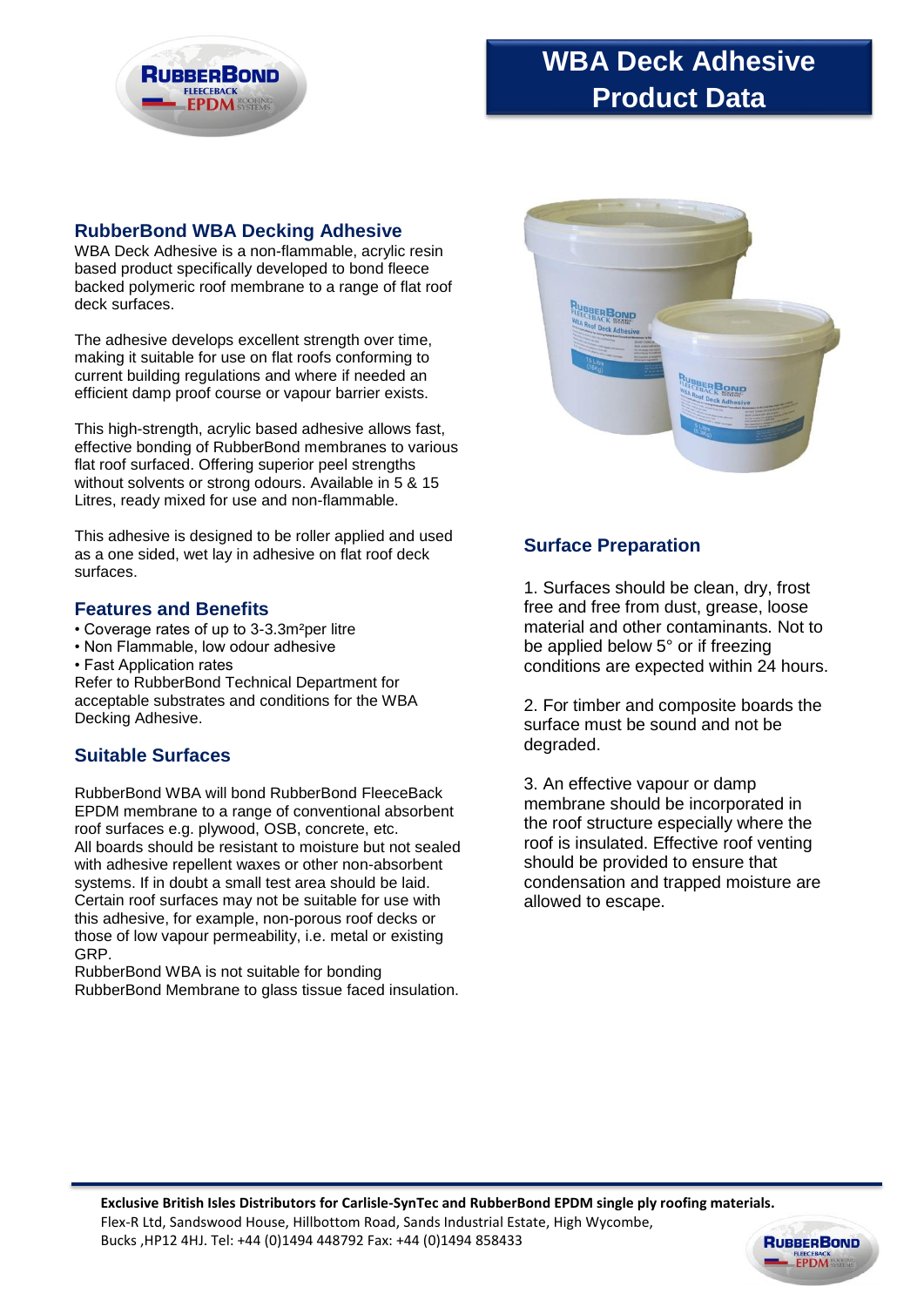

# **WBA Deck Adhesive Product Data**

### **RubberBond WBA Decking Adhesive**

WBA Deck Adhesive is a non-flammable, acrylic resin based product specifically developed to bond fleece backed polymeric roof membrane to a range of flat roof deck surfaces.

The adhesive develops excellent strength over time, making it suitable for use on flat roofs conforming to current building regulations and where if needed an efficient damp proof course or vapour barrier exists.

This high-strength, acrylic based adhesive allows fast, effective bonding of RubberBond membranes to various flat roof surfaced. Offering superior peel strengths without solvents or strong odours. Available in 5 & 15 Litres, ready mixed for use and non-flammable.

This adhesive is designed to be roller applied and used as a one sided, wet lay in adhesive on flat roof deck surfaces.

#### **Features and Benefits**

- Coverage rates of up to 3-3.3m²per litre
- Non Flammable, low odour adhesive
- Fast Application rates

Refer to RubberBond Technical Department for acceptable substrates and conditions for the WBA Decking Adhesive.

### **Suitable Surfaces**

RubberBond WBA will bond RubberBond FleeceBack EPDM membrane to a range of conventional absorbent roof surfaces e.g. plywood, OSB, concrete, etc. All boards should be resistant to moisture but not sealed with adhesive repellent waxes or other non-absorbent systems. If in doubt a small test area should be laid. Certain roof surfaces may not be suitable for use with this adhesive, for example, non-porous roof decks or those of low vapour permeability, i.e. metal or existing GRP.

RubberBond WBA is not suitable for bonding RubberBond Membrane to glass tissue faced insulation.



## **Surface Preparation**

1. Surfaces should be clean, dry, frost free and free from dust, grease, loose material and other contaminants. Not to be applied below 5° or if freezing conditions are expected within 24 hours.

2. For timber and composite boards the surface must be sound and not be degraded.

3. An effective vapour or damp membrane should be incorporated in the roof structure especially where the roof is insulated. Effective roof venting should be provided to ensure that condensation and trapped moisture are allowed to escape.